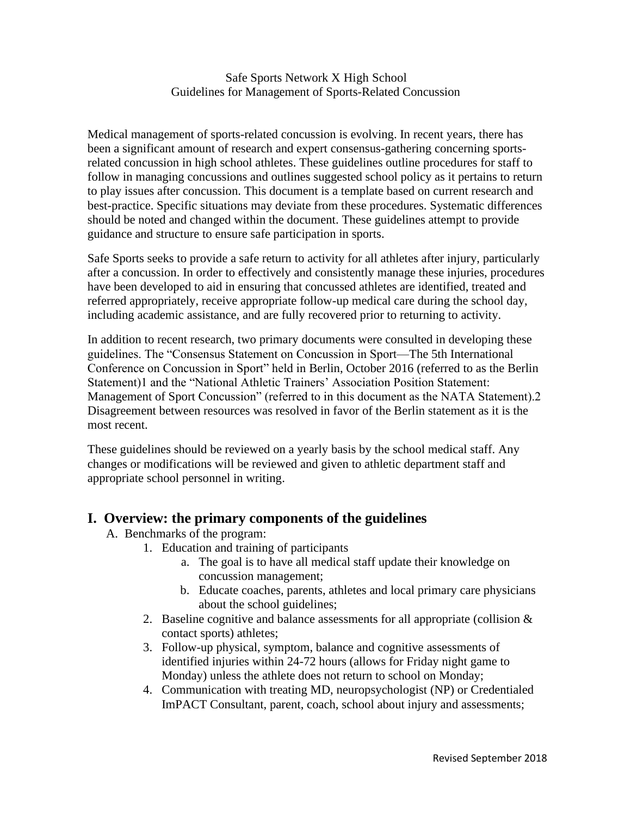#### Safe Sports Network X High School Guidelines for Management of Sports-Related Concussion

Medical management of sports-related concussion is evolving. In recent years, there has been a significant amount of research and expert consensus-gathering concerning sportsrelated concussion in high school athletes. These guidelines outline procedures for staff to follow in managing concussions and outlines suggested school policy as it pertains to return to play issues after concussion. This document is a template based on current research and best-practice. Specific situations may deviate from these procedures. Systematic differences should be noted and changed within the document. These guidelines attempt to provide guidance and structure to ensure safe participation in sports.

Safe Sports seeks to provide a safe return to activity for all athletes after injury, particularly after a concussion. In order to effectively and consistently manage these injuries, procedures have been developed to aid in ensuring that concussed athletes are identified, treated and referred appropriately, receive appropriate follow-up medical care during the school day, including academic assistance, and are fully recovered prior to returning to activity.

In addition to recent research, two primary documents were consulted in developing these guidelines. The "Consensus Statement on Concussion in Sport—The 5th International Conference on Concussion in Sport" held in Berlin, October 2016 (referred to as the Berlin Statement)1 and the "National Athletic Trainers' Association Position Statement: Management of Sport Concussion" (referred to in this document as the NATA Statement).2 Disagreement between resources was resolved in favor of the Berlin statement as it is the most recent.

These guidelines should be reviewed on a yearly basis by the school medical staff. Any changes or modifications will be reviewed and given to athletic department staff and appropriate school personnel in writing.

# **I. Overview: the primary components of the guidelines**

- A. Benchmarks of the program:
	- 1. Education and training of participants
		- a. The goal is to have all medical staff update their knowledge on concussion management;
		- b. Educate coaches, parents, athletes and local primary care physicians about the school guidelines;
	- 2. Baseline cognitive and balance assessments for all appropriate (collision  $\&$ contact sports) athletes;
	- 3. Follow-up physical, symptom, balance and cognitive assessments of identified injuries within 24-72 hours (allows for Friday night game to Monday) unless the athlete does not return to school on Monday;
	- 4. Communication with treating MD, neuropsychologist (NP) or Credentialed ImPACT Consultant, parent, coach, school about injury and assessments;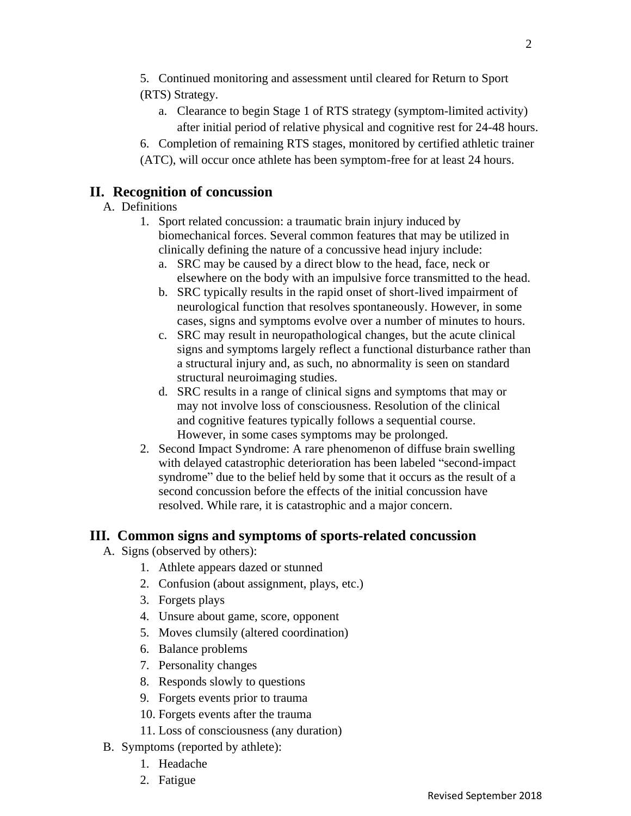5. Continued monitoring and assessment until cleared for Return to Sport (RTS) Strategy.

- a. Clearance to begin Stage 1 of RTS strategy (symptom-limited activity) after initial period of relative physical and cognitive rest for 24-48 hours.
- 6. Completion of remaining RTS stages, monitored by certified athletic trainer
- (ATC), will occur once athlete has been symptom-free for at least 24 hours.

# **II. Recognition of concussion**

# A. Definitions

- 1. Sport related concussion: a traumatic brain injury induced by biomechanical forces. Several common features that may be utilized in clinically defining the nature of a concussive head injury include:
	- a. SRC may be caused by a direct blow to the head, face, neck or elsewhere on the body with an impulsive force transmitted to the head.
	- b. SRC typically results in the rapid onset of short-lived impairment of neurological function that resolves spontaneously. However, in some cases, signs and symptoms evolve over a number of minutes to hours.
	- c. SRC may result in neuropathological changes, but the acute clinical signs and symptoms largely reflect a functional disturbance rather than a structural injury and, as such, no abnormality is seen on standard structural neuroimaging studies.
	- d. SRC results in a range of clinical signs and symptoms that may or may not involve loss of consciousness. Resolution of the clinical and cognitive features typically follows a sequential course. However, in some cases symptoms may be prolonged.
- 2. Second Impact Syndrome: A rare phenomenon of diffuse brain swelling with delayed catastrophic deterioration has been labeled "second-impact syndrome" due to the belief held by some that it occurs as the result of a second concussion before the effects of the initial concussion have resolved. While rare, it is catastrophic and a major concern.

# **III. Common signs and symptoms of sports-related concussion**

- A. Signs (observed by others):
	- 1. Athlete appears dazed or stunned
	- 2. Confusion (about assignment, plays, etc.)
	- 3. Forgets plays
	- 4. Unsure about game, score, opponent
	- 5. Moves clumsily (altered coordination)
	- 6. Balance problems
	- 7. Personality changes
	- 8. Responds slowly to questions
	- 9. Forgets events prior to trauma
	- 10. Forgets events after the trauma
	- 11. Loss of consciousness (any duration)
- B. Symptoms (reported by athlete):
	- 1. Headache
	- 2. Fatigue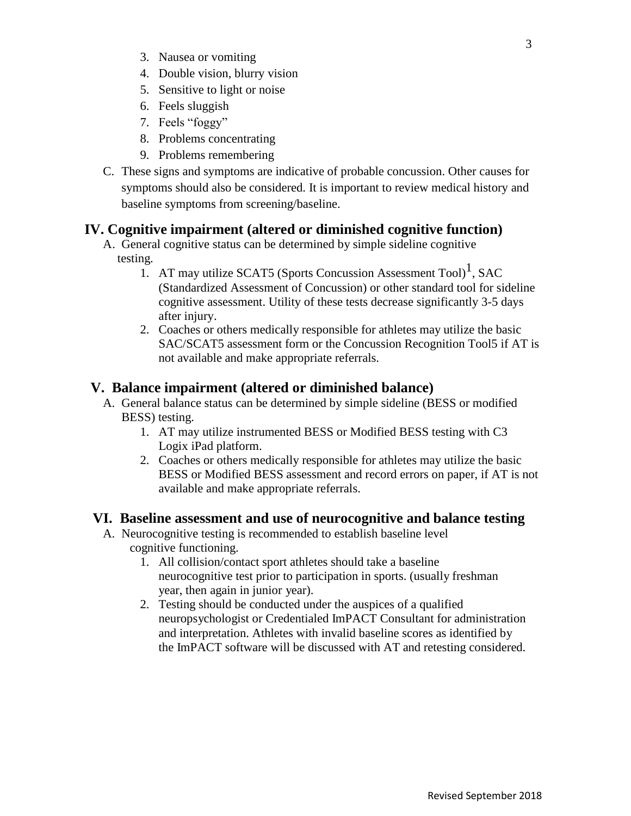- 3. Nausea or vomiting
- 4. Double vision, blurry vision
- 5. Sensitive to light or noise
- 6. Feels sluggish
- 7. Feels "foggy"
- 8. Problems concentrating
- 9. Problems remembering
- C. These signs and symptoms are indicative of probable concussion. Other causes for symptoms should also be considered. It is important to review medical history and baseline symptoms from screening/baseline.

## **IV. Cognitive impairment (altered or diminished cognitive function)**

- A. General cognitive status can be determined by simple sideline cognitive testing.
	- 1. AT may utilize SCAT5 (Sports Concussion Assessment Tool)<sup>1</sup>, SAC (Standardized Assessment of Concussion) or other standard tool for sideline cognitive assessment. Utility of these tests decrease significantly 3-5 days after injury.
	- 2. Coaches or others medically responsible for athletes may utilize the basic SAC/SCAT5 assessment form or the Concussion Recognition Tool5 if AT is not available and make appropriate referrals.

## **V. Balance impairment (altered or diminished balance)**

- A. General balance status can be determined by simple sideline (BESS or modified BESS) testing.
	- 1. AT may utilize instrumented BESS or Modified BESS testing with C3 Logix iPad platform.
	- 2. Coaches or others medically responsible for athletes may utilize the basic BESS or Modified BESS assessment and record errors on paper, if AT is not available and make appropriate referrals.

### **VI. Baseline assessment and use of neurocognitive and balance testing**

- A. Neurocognitive testing is recommended to establish baseline level cognitive functioning.
	- 1. All collision/contact sport athletes should take a baseline neurocognitive test prior to participation in sports. (usually freshman year, then again in junior year).
	- 2. Testing should be conducted under the auspices of a qualified neuropsychologist or Credentialed ImPACT Consultant for administration and interpretation. Athletes with invalid baseline scores as identified by the ImPACT software will be discussed with AT and retesting considered.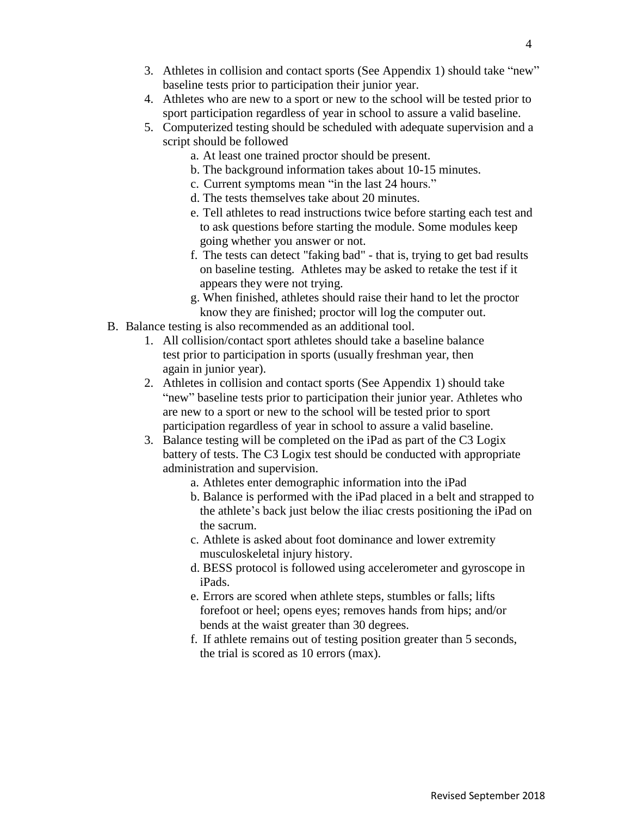- 3. Athletes in collision and contact sports (See Appendix 1) should take "new" baseline tests prior to participation their junior year.
- 4. Athletes who are new to a sport or new to the school will be tested prior to sport participation regardless of year in school to assure a valid baseline.
- 5. Computerized testing should be scheduled with adequate supervision and a script should be followed
	- a. At least one trained proctor should be present.
	- b. The background information takes about 10-15 minutes.
	- c. Current symptoms mean "in the last 24 hours."
	- d. The tests themselves take about 20 minutes.
	- e. Tell athletes to read instructions twice before starting each test and to ask questions before starting the module. Some modules keep going whether you answer or not.
	- f. The tests can detect "faking bad" that is, trying to get bad results on baseline testing. Athletes may be asked to retake the test if it appears they were not trying.
	- g. When finished, athletes should raise their hand to let the proctor know they are finished; proctor will log the computer out.
- B. Balance testing is also recommended as an additional tool.
	- 1. All collision/contact sport athletes should take a baseline balance test prior to participation in sports (usually freshman year, then again in junior year).
	- 2. Athletes in collision and contact sports (See Appendix 1) should take "new" baseline tests prior to participation their junior year. Athletes who are new to a sport or new to the school will be tested prior to sport participation regardless of year in school to assure a valid baseline.
	- 3. Balance testing will be completed on the iPad as part of the C3 Logix battery of tests. The C3 Logix test should be conducted with appropriate administration and supervision.
		- a. Athletes enter demographic information into the iPad
		- b. Balance is performed with the iPad placed in a belt and strapped to the athlete's back just below the iliac crests positioning the iPad on the sacrum.
		- c. Athlete is asked about foot dominance and lower extremity musculoskeletal injury history.
		- d. BESS protocol is followed using accelerometer and gyroscope in iPads.
		- e. Errors are scored when athlete steps, stumbles or falls; lifts forefoot or heel; opens eyes; removes hands from hips; and/or bends at the waist greater than 30 degrees.
		- f. If athlete remains out of testing position greater than 5 seconds, the trial is scored as 10 errors (max).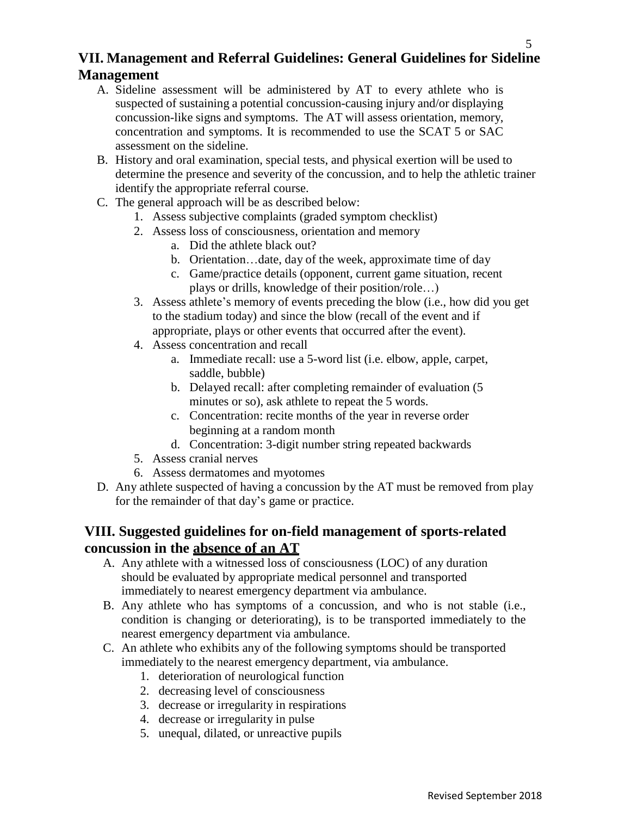# **VII. Management and Referral Guidelines: General Guidelines for Sideline Management**

- A. Sideline assessment will be administered by AT to every athlete who is suspected of sustaining a potential concussion-causing injury and/or displaying concussion-like signs and symptoms. The AT will assess orientation, memory, concentration and symptoms. It is recommended to use the SCAT 5 or SAC assessment on the sideline.
- B. History and oral examination, special tests, and physical exertion will be used to determine the presence and severity of the concussion, and to help the athletic trainer identify the appropriate referral course.
- C. The general approach will be as described below:
	- 1. Assess subjective complaints (graded symptom checklist)
	- 2. Assess loss of consciousness, orientation and memory
		- a. Did the athlete black out?
		- b. Orientation…date, day of the week, approximate time of day
		- c. Game/practice details (opponent, current game situation, recent plays or drills, knowledge of their position/role…)
	- 3. Assess athlete's memory of events preceding the blow (i.e., how did you get to the stadium today) and since the blow (recall of the event and if appropriate, plays or other events that occurred after the event).
	- 4. Assess concentration and recall
		- a. Immediate recall: use a 5-word list (i.e. elbow, apple, carpet, saddle, bubble)
		- b. Delayed recall: after completing remainder of evaluation (5 minutes or so), ask athlete to repeat the 5 words.
		- c. Concentration: recite months of the year in reverse order beginning at a random month
		- d. Concentration: 3-digit number string repeated backwards
	- 5. Assess cranial nerves
	- 6. Assess dermatomes and myotomes
- D. Any athlete suspected of having a concussion by the AT must be removed from play for the remainder of that day's game or practice.

# **VIII. Suggested guidelines for on-field management of sports-related concussion in the absence of an AT**

- A. Any athlete with a witnessed loss of consciousness (LOC) of any duration should be evaluated by appropriate medical personnel and transported immediately to nearest emergency department via ambulance.
- B. Any athlete who has symptoms of a concussion, and who is not stable (i.e., condition is changing or deteriorating), is to be transported immediately to the nearest emergency department via ambulance.
- C. An athlete who exhibits any of the following symptoms should be transported immediately to the nearest emergency department, via ambulance.
	- 1. deterioration of neurological function
	- 2. decreasing level of consciousness
	- 3. decrease or irregularity in respirations
	- 4. decrease or irregularity in pulse
	- 5. unequal, dilated, or unreactive pupils

5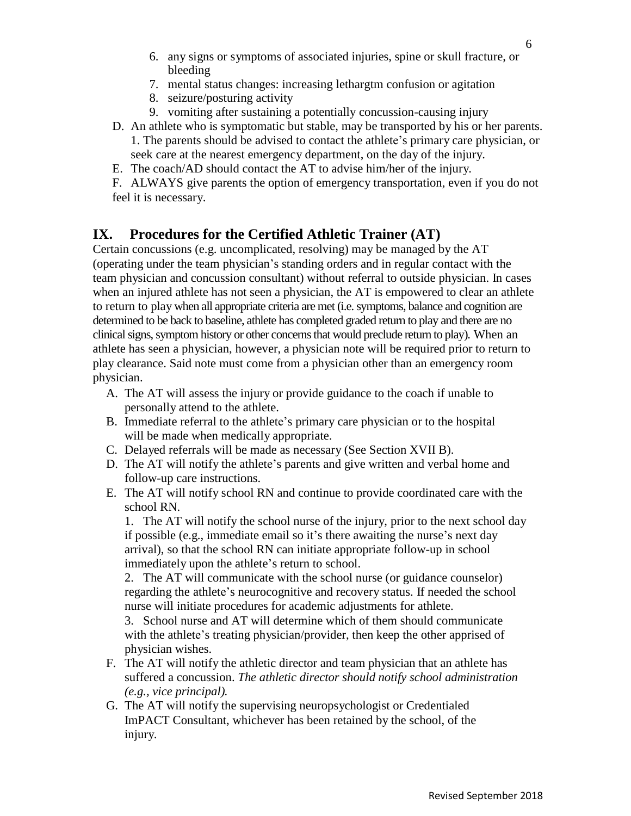- 6. any signs or symptoms of associated injuries, spine or skull fracture, or bleeding
- 7. mental status changes: increasing lethargtm confusion or agitation
- 8. seizure/posturing activity
- 9. vomiting after sustaining a potentially concussion-causing injury
- D. An athlete who is symptomatic but stable, may be transported by his or her parents. 1. The parents should be advised to contact the athlete's primary care physician, or seek care at the nearest emergency department, on the day of the injury.
- E. The coach/AD should contact the AT to advise him/her of the injury.

F. ALWAYS give parents the option of emergency transportation, even if you do not feel it is necessary.

# **IX. Procedures for the Certified Athletic Trainer (AT)**

Certain concussions (e.g. uncomplicated, resolving) may be managed by the AT (operating under the team physician's standing orders and in regular contact with the team physician and concussion consultant) without referral to outside physician. In cases when an injured athlete has not seen a physician, the AT is empowered to clear an athlete to return to play when all appropriate criteria are met (i.e. symptoms, balance and cognition are determined to be back to baseline, athlete has completed graded return to play and there are no clinical signs, symptom history or other concerns that would preclude return to play). When an athlete has seen a physician, however, a physician note will be required prior to return to play clearance. Said note must come from a physician other than an emergency room physician.

- A. The AT will assess the injury or provide guidance to the coach if unable to personally attend to the athlete.
- B. Immediate referral to the athlete's primary care physician or to the hospital will be made when medically appropriate.
- C. Delayed referrals will be made as necessary (See Section XVII B).
- D. The AT will notify the athlete's parents and give written and verbal home and follow-up care instructions.
- E. The AT will notify school RN and continue to provide coordinated care with the school RN.

1. The AT will notify the school nurse of the injury, prior to the next school day if possible (e.g., immediate email so it's there awaiting the nurse's next day arrival), so that the school RN can initiate appropriate follow-up in school immediately upon the athlete's return to school.

2. The AT will communicate with the school nurse (or guidance counselor) regarding the athlete's neurocognitive and recovery status. If needed the school nurse will initiate procedures for academic adjustments for athlete.

3. School nurse and AT will determine which of them should communicate with the athlete's treating physician/provider, then keep the other apprised of physician wishes.

- F. The AT will notify the athletic director and team physician that an athlete has suffered a concussion. *The athletic director should notify school administration (e.g., vice principal).*
- G. The AT will notify the supervising neuropsychologist or Credentialed ImPACT Consultant, whichever has been retained by the school, of the injury.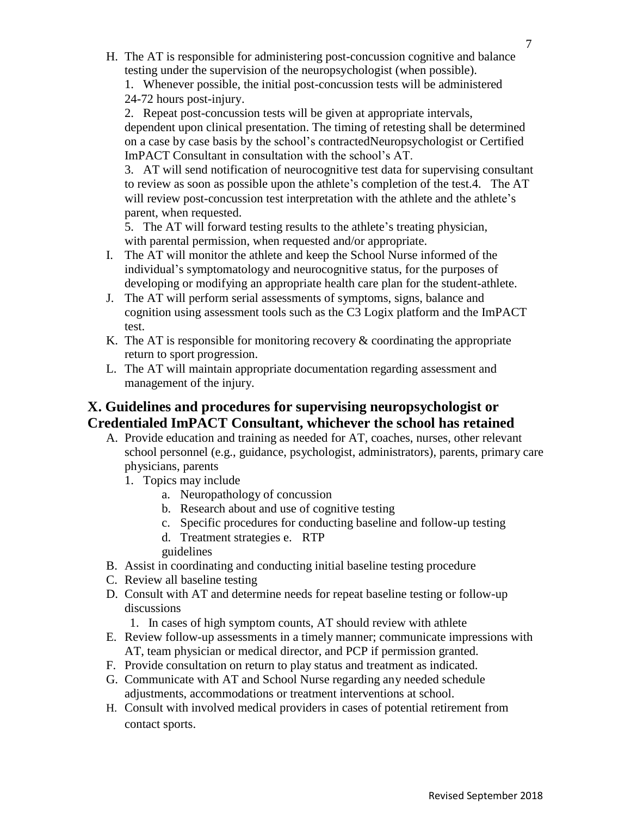- H. The AT is responsible for administering post-concussion cognitive and balance testing under the supervision of the neuropsychologist (when possible).
	- 1. Whenever possible, the initial post-concussion tests will be administered 24-72 hours post-injury.

2. Repeat post-concussion tests will be given at appropriate intervals, dependent upon clinical presentation. The timing of retesting shall be determined on a case by case basis by the school's contractedNeuropsychologist or Certified ImPACT Consultant in consultation with the school's AT.

3. AT will send notification of neurocognitive test data for supervising consultant to review as soon as possible upon the athlete's completion of the test.4. The AT will review post-concussion test interpretation with the athlete and the athlete's parent, when requested.

5. The AT will forward testing results to the athlete's treating physician, with parental permission, when requested and/or appropriate.

- I. The AT will monitor the athlete and keep the School Nurse informed of the individual's symptomatology and neurocognitive status, for the purposes of developing or modifying an appropriate health care plan for the student-athlete.
- J. The AT will perform serial assessments of symptoms, signs, balance and cognition using assessment tools such as the C3 Logix platform and the ImPACT test.
- K. The AT is responsible for monitoring recovery  $\&$  coordinating the appropriate return to sport progression.
- L. The AT will maintain appropriate documentation regarding assessment and management of the injury.

# **X. Guidelines and procedures for supervising neuropsychologist or Credentialed ImPACT Consultant, whichever the school has retained**

- A. Provide education and training as needed for AT, coaches, nurses, other relevant school personnel (e.g., guidance, psychologist, administrators), parents, primary care physicians, parents
	- 1. Topics may include
		- a. Neuropathology of concussion
		- b. Research about and use of cognitive testing
		- c. Specific procedures for conducting baseline and follow-up testing
		- d. Treatment strategies e. RTP guidelines
- B. Assist in coordinating and conducting initial baseline testing procedure
- C. Review all baseline testing
- D. Consult with AT and determine needs for repeat baseline testing or follow-up discussions
	- 1. In cases of high symptom counts, AT should review with athlete
- E. Review follow-up assessments in a timely manner; communicate impressions with AT, team physician or medical director, and PCP if permission granted.
- F. Provide consultation on return to play status and treatment as indicated.
- G. Communicate with AT and School Nurse regarding any needed schedule adjustments, accommodations or treatment interventions at school.
- H. Consult with involved medical providers in cases of potential retirement from contact sports.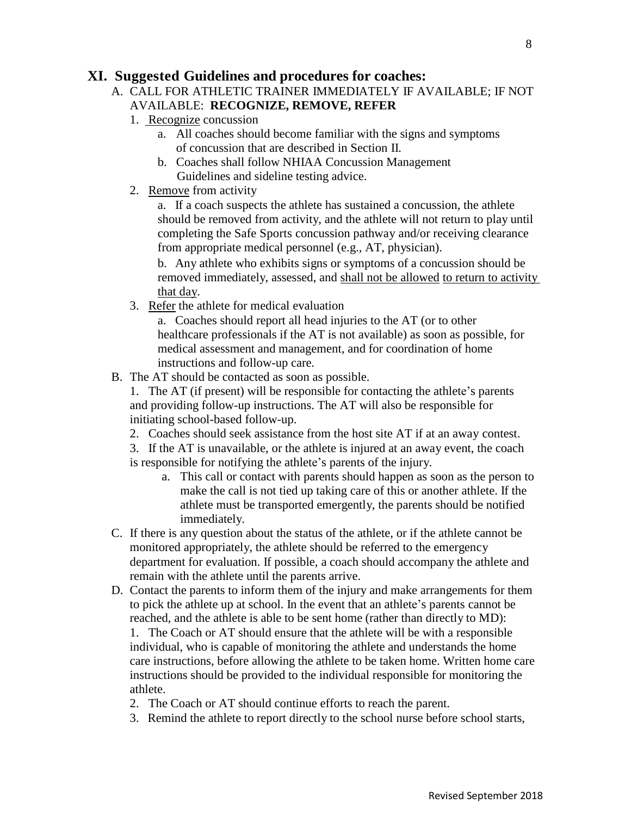### **XI. Suggested Guidelines and procedures for coaches:**

- A. CALL FOR ATHLETIC TRAINER IMMEDIATELY IF AVAILABLE; IF NOT AVAILABLE: **RECOGNIZE, REMOVE, REFER**
	- 1. Recognize concussion
		- a. All coaches should become familiar with the signs and symptoms of concussion that are described in Section II.
		- b. Coaches shall follow NHIAA Concussion Management Guidelines and sideline testing advice.
	- 2. Remove from activity

a. If a coach suspects the athlete has sustained a concussion, the athlete should be removed from activity, and the athlete will not return to play until completing the Safe Sports concussion pathway and/or receiving clearance from appropriate medical personnel (e.g., AT, physician).

b. Any athlete who exhibits signs or symptoms of a concussion should be removed immediately, assessed, and shall not be allowed to return to activity that day.

3. Refer the athlete for medical evaluation

a. Coaches should report all head injuries to the AT (or to other healthcare professionals if the AT is not available) as soon as possible, for medical assessment and management, and for coordination of home instructions and follow-up care.

B. The AT should be contacted as soon as possible.

1. The AT (if present) will be responsible for contacting the athlete's parents and providing follow-up instructions. The AT will also be responsible for initiating school-based follow-up.

2. Coaches should seek assistance from the host site AT if at an away contest.

3. If the AT is unavailable, or the athlete is injured at an away event, the coach is responsible for notifying the athlete's parents of the injury.

- a. This call or contact with parents should happen as soon as the person to make the call is not tied up taking care of this or another athlete. If the athlete must be transported emergently, the parents should be notified immediately.
- C. If there is any question about the status of the athlete, or if the athlete cannot be monitored appropriately, the athlete should be referred to the emergency department for evaluation. If possible, a coach should accompany the athlete and remain with the athlete until the parents arrive.
- D. Contact the parents to inform them of the injury and make arrangements for them to pick the athlete up at school. In the event that an athlete's parents cannot be reached, and the athlete is able to be sent home (rather than directly to MD):

1. The Coach or AT should ensure that the athlete will be with a responsible individual, who is capable of monitoring the athlete and understands the home care instructions, before allowing the athlete to be taken home. Written home care instructions should be provided to the individual responsible for monitoring the athlete.

- 2. The Coach or AT should continue efforts to reach the parent.
- 3. Remind the athlete to report directly to the school nurse before school starts,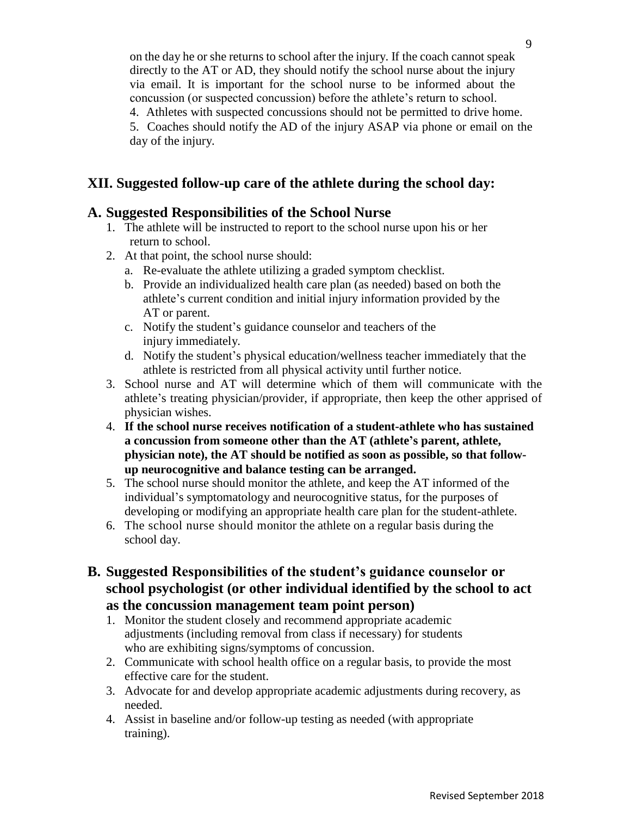on the day he or she returns to school after the injury. If the coach cannot speak directly to the AT or AD, they should notify the school nurse about the injury via email. It is important for the school nurse to be informed about the concussion (or suspected concussion) before the athlete's return to school.

4. Athletes with suspected concussions should not be permitted to drive home.

5. Coaches should notify the AD of the injury ASAP via phone or email on the day of the injury.

# **XII. Suggested follow-up care of the athlete during the school day:**

## **A. Suggested Responsibilities of the School Nurse**

- 1. The athlete will be instructed to report to the school nurse upon his or her return to school.
- 2. At that point, the school nurse should:
	- a. Re-evaluate the athlete utilizing a graded symptom checklist.
	- b. Provide an individualized health care plan (as needed) based on both the athlete's current condition and initial injury information provided by the AT or parent.
	- c. Notify the student's guidance counselor and teachers of the injury immediately.
	- d. Notify the student's physical education/wellness teacher immediately that the athlete is restricted from all physical activity until further notice.
- 3. School nurse and AT will determine which of them will communicate with the athlete's treating physician/provider, if appropriate, then keep the other apprised of physician wishes.
- 4. **If the school nurse receives notification of a student-athlete who has sustained a concussion from someone other than the AT (athlete's parent, athlete, physician note), the AT should be notified as soon as possible, so that followup neurocognitive and balance testing can be arranged.**
- 5. The school nurse should monitor the athlete, and keep the AT informed of the individual's symptomatology and neurocognitive status, for the purposes of developing or modifying an appropriate health care plan for the student-athlete.
- 6. The school nurse should monitor the athlete on a regular basis during the school day.
- **B. Suggested Responsibilities of the student's guidance counselor or school psychologist (or other individual identified by the school to act as the concussion management team point person)**
	- 1. Monitor the student closely and recommend appropriate academic adjustments (including removal from class if necessary) for students who are exhibiting signs/symptoms of concussion.
	- 2. Communicate with school health office on a regular basis, to provide the most effective care for the student.
	- 3. Advocate for and develop appropriate academic adjustments during recovery, as needed.
	- 4. Assist in baseline and/or follow-up testing as needed (with appropriate training).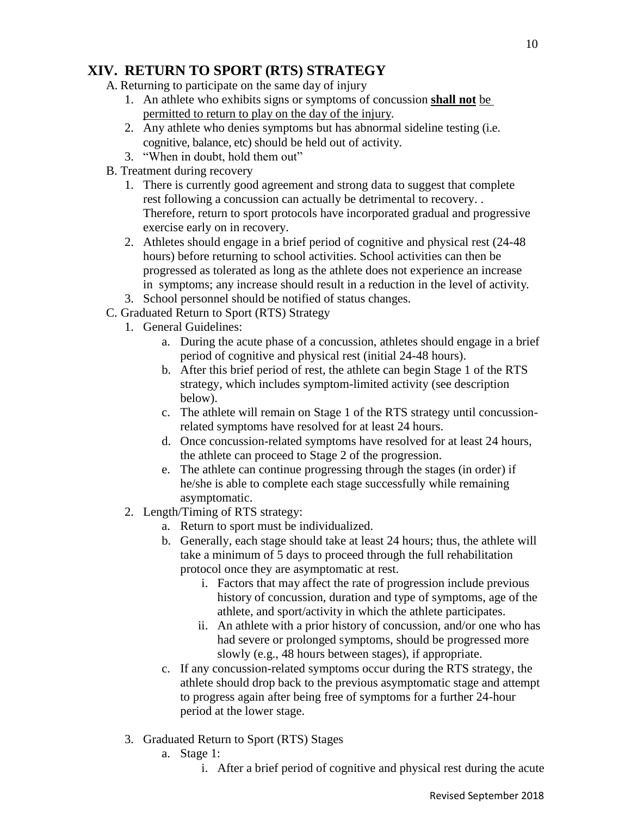# **XIV. RETURN TO SPORT (RTS) STRATEGY**

A. Returning to participate on the same day of injury

- 1. An athlete who exhibits signs or symptoms of concussion **shall not** be permitted to return to play on the day of the injury.
- 2. Any athlete who denies symptoms but has abnormal sideline testing (i.e. cognitive, balance, etc) should be held out of activity.
- 3. "When in doubt, hold them out"
- B. Treatment during recovery
	- 1. There is currently good agreement and strong data to suggest that complete rest following a concussion can actually be detrimental to recovery. . Therefore, return to sport protocols have incorporated gradual and progressive exercise early on in recovery.
	- 2. Athletes should engage in a brief period of cognitive and physical rest (24-48 hours) before returning to school activities. School activities can then be progressed as tolerated as long as the athlete does not experience an increase in symptoms; any increase should result in a reduction in the level of activity.
	- 3. School personnel should be notified of status changes.
- C. Graduated Return to Sport (RTS) Strategy
	- 1. General Guidelines:
		- a. During the acute phase of a concussion, athletes should engage in a brief period of cognitive and physical rest (initial 24-48 hours).
		- b. After this brief period of rest, the athlete can begin Stage 1 of the RTS strategy, which includes symptom-limited activity (see description below).
		- c. The athlete will remain on Stage 1 of the RTS strategy until concussionrelated symptoms have resolved for at least 24 hours.
		- d. Once concussion-related symptoms have resolved for at least 24 hours, the athlete can proceed to Stage 2 of the progression.
		- e. The athlete can continue progressing through the stages (in order) if he/she is able to complete each stage successfully while remaining asymptomatic.
	- 2. Length/Timing of RTS strategy:
		- a. Return to sport must be individualized.
		- b. Generally, each stage should take at least 24 hours; thus, the athlete will take a minimum of 5 days to proceed through the full rehabilitation protocol once they are asymptomatic at rest.
			- i. Factors that may affect the rate of progression include previous history of concussion, duration and type of symptoms, age of the athlete, and sport/activity in which the athlete participates.
			- ii. An athlete with a prior history of concussion, and/or one who has had severe or prolonged symptoms, should be progressed more slowly (e.g., 48 hours between stages), if appropriate.
		- c. If any concussion-related symptoms occur during the RTS strategy, the athlete should drop back to the previous asymptomatic stage and attempt to progress again after being free of symptoms for a further 24-hour period at the lower stage.
	- 3. Graduated Return to Sport (RTS) Stages
		- a. Stage 1:
			- i. After a brief period of cognitive and physical rest during the acute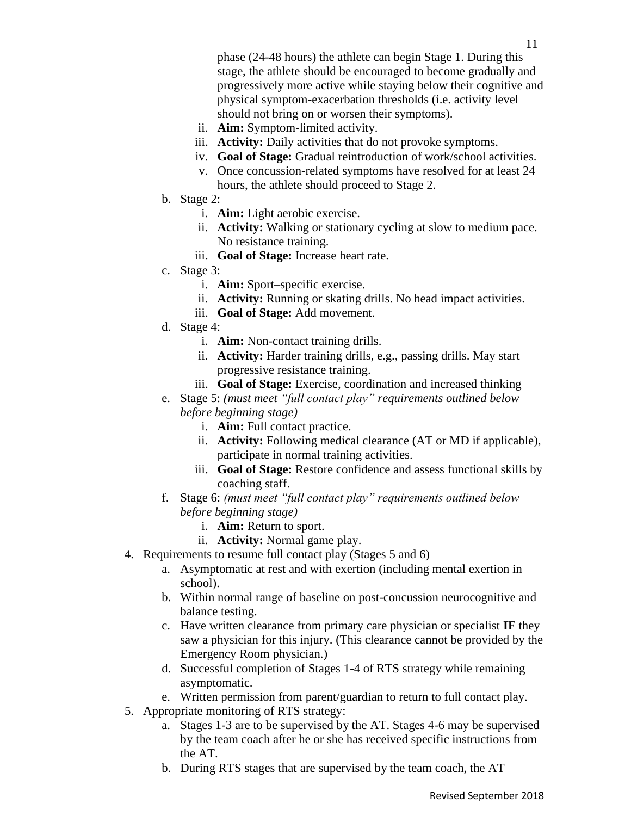phase (24-48 hours) the athlete can begin Stage 1. During this stage, the athlete should be encouraged to become gradually and progressively more active while staying below their cognitive and physical symptom-exacerbation thresholds (i.e. activity level should not bring on or worsen their symptoms).

- ii. **Aim:** Symptom-limited activity.
- iii. **Activity:** Daily activities that do not provoke symptoms.
- iv. **Goal of Stage:** Gradual reintroduction of work/school activities.
- v. Once concussion-related symptoms have resolved for at least 24 hours, the athlete should proceed to Stage 2.
- b. Stage 2:
	- i. **Aim:** Light aerobic exercise.
	- ii. **Activity:** Walking or stationary cycling at slow to medium pace. No resistance training.
	- iii. **Goal of Stage:** Increase heart rate.
- c. Stage 3:
	- i. **Aim:** Sport–specific exercise.
	- ii. **Activity:** Running or skating drills. No head impact activities.
	- iii. **Goal of Stage:** Add movement.
- d. Stage 4:
	- i. **Aim:** Non-contact training drills.
	- ii. **Activity:** Harder training drills, e.g., passing drills. May start progressive resistance training.
	- iii. **Goal of Stage:** Exercise, coordination and increased thinking
- e. Stage 5: *(must meet "full contact play" requirements outlined below before beginning stage)*
	- i. **Aim:** Full contact practice.
	- ii. **Activity:** Following medical clearance (AT or MD if applicable), participate in normal training activities.
	- iii. **Goal of Stage:** Restore confidence and assess functional skills by coaching staff.
- f. Stage 6: *(must meet "full contact play" requirements outlined below before beginning stage)*
	- i. **Aim:** Return to sport.
	- ii. **Activity:** Normal game play.
- 4. Requirements to resume full contact play (Stages 5 and 6)
	- a. Asymptomatic at rest and with exertion (including mental exertion in school).
	- b. Within normal range of baseline on post-concussion neurocognitive and balance testing.
	- c. Have written clearance from primary care physician or specialist **IF** they saw a physician for this injury. (This clearance cannot be provided by the Emergency Room physician.)
	- d. Successful completion of Stages 1-4 of RTS strategy while remaining asymptomatic.
	- e. Written permission from parent/guardian to return to full contact play.
- 5. Appropriate monitoring of RTS strategy:
	- a. Stages 1-3 are to be supervised by the AT. Stages 4-6 may be supervised by the team coach after he or she has received specific instructions from the AT.
	- b. During RTS stages that are supervised by the team coach, the AT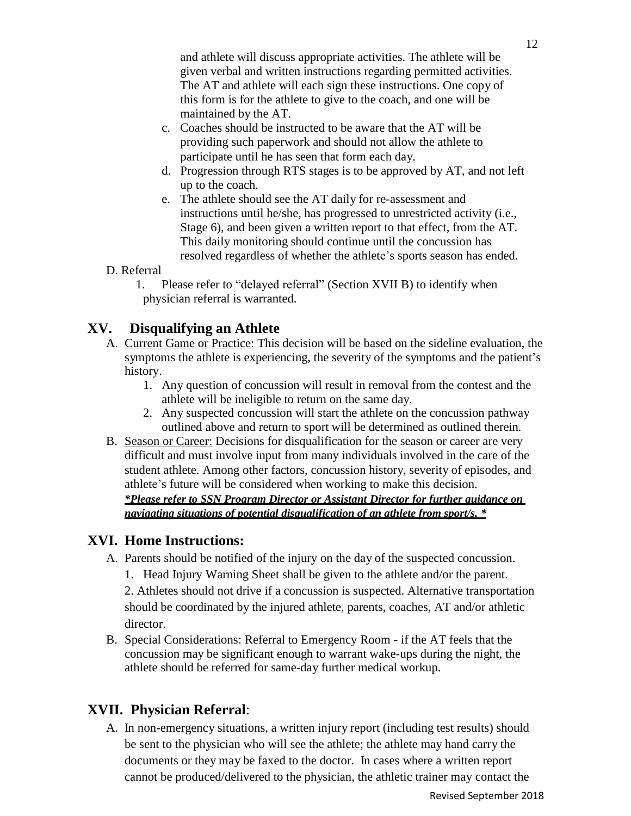and athlete will discuss appropriate activities. The athlete will be given verbal and written instructions regarding permitted activities. The AT and athlete will each sign these instructions. One copy of this form is for the athlete to give to the coach, and one will be maintained by the AT.

- c. Coaches should be instructed to be aware that the AT will be providing such paperwork and should not allow the athlete to participate until he has seen that form each day.
- d. Progression through RTS stages is to be approved by AT, and not left up to the coach.
- e. The athlete should see the AT daily for re-assessment and instructions until he/she, has progressed to unrestricted activity (i.e., Stage 6), and been given a written report to that effect, from the AT. This daily monitoring should continue until the concussion has resolved regardless of whether the athlete's sports season has ended.
- D. Referral

1. Please refer to "delayed referral" (Section XVII B) to identify when physician referral is warranted.

## **XV. Disqualifying an Athlete**

- A. Current Game or Practice: This decision will be based on the sideline evaluation, the symptoms the athlete is experiencing, the severity of the symptoms and the patient's history.
	- 1. Any question of concussion will result in removal from the contest and the athlete will be ineligible to return on the same day.
	- 2. Any suspected concussion will start the athlete on the concussion pathway outlined above and return to sport will be determined as outlined therein.
- B. Season or Career: Decisions for disqualification for the season or career are very difficult and must involve input from many individuals involved in the care of the student athlete. Among other factors, concussion history, severity of episodes, and athlete's future will be considered when working to make this decision. *\*Please refer to SSN Program Director or Assistant Director for further guidance on*

*navigating situations of potential disqualification of an athlete from sport/s. \**

### **XVI. Home Instructions:**

- A. Parents should be notified of the injury on the day of the suspected concussion.
	- 1. Head Injury Warning Sheet shall be given to the athlete and/or the parent.

2. Athletes should not drive if a concussion is suspected. Alternative transportation should be coordinated by the injured athlete, parents, coaches, AT and/or athletic director.

B. Special Considerations: Referral to Emergency Room - if the AT feels that the concussion may be significant enough to warrant wake-ups during the night, the athlete should be referred for same-day further medical workup.

# **XVII. Physician Referral**:

A. In non-emergency situations, a written injury report (including test results) should be sent to the physician who will see the athlete; the athlete may hand carry the documents or they may be faxed to the doctor. In cases where a written report cannot be produced/delivered to the physician, the athletic trainer may contact the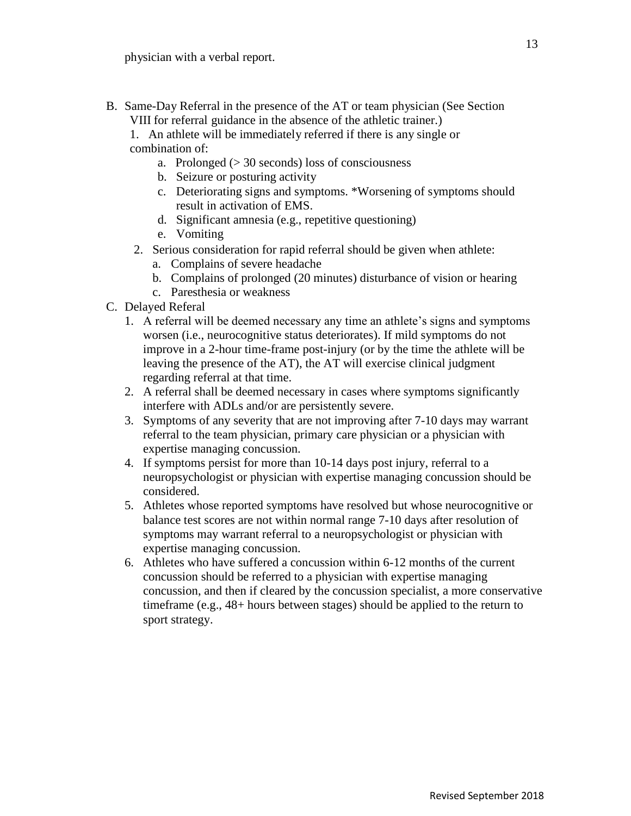B. Same-Day Referral in the presence of the AT or team physician (See Section VIII for referral guidance in the absence of the athletic trainer.)

1. An athlete will be immediately referred if there is any single or combination of:

- a. Prolonged  $(>30 \text{ seconds})$  loss of consciousness
- b. Seizure or posturing activity
- c. Deteriorating signs and symptoms. \*Worsening of symptoms should result in activation of EMS.
- d. Significant amnesia (e.g., repetitive questioning)
- e. Vomiting
- 2. Serious consideration for rapid referral should be given when athlete:
	- a. Complains of severe headache
	- b. Complains of prolonged (20 minutes) disturbance of vision or hearing
	- c. Paresthesia or weakness
- C. Delayed Referal
	- 1. A referral will be deemed necessary any time an athlete's signs and symptoms worsen (i.e., neurocognitive status deteriorates). If mild symptoms do not improve in a 2-hour time-frame post-injury (or by the time the athlete will be leaving the presence of the AT), the AT will exercise clinical judgment regarding referral at that time.
	- 2. A referral shall be deemed necessary in cases where symptoms significantly interfere with ADLs and/or are persistently severe.
	- 3. Symptoms of any severity that are not improving after 7-10 days may warrant referral to the team physician, primary care physician or a physician with expertise managing concussion.
	- 4. If symptoms persist for more than 10-14 days post injury, referral to a neuropsychologist or physician with expertise managing concussion should be considered.
	- 5. Athletes whose reported symptoms have resolved but whose neurocognitive or balance test scores are not within normal range 7-10 days after resolution of symptoms may warrant referral to a neuropsychologist or physician with expertise managing concussion.
	- 6. Athletes who have suffered a concussion within 6-12 months of the current concussion should be referred to a physician with expertise managing concussion, and then if cleared by the concussion specialist, a more conservative timeframe (e.g., 48+ hours between stages) should be applied to the return to sport strategy.